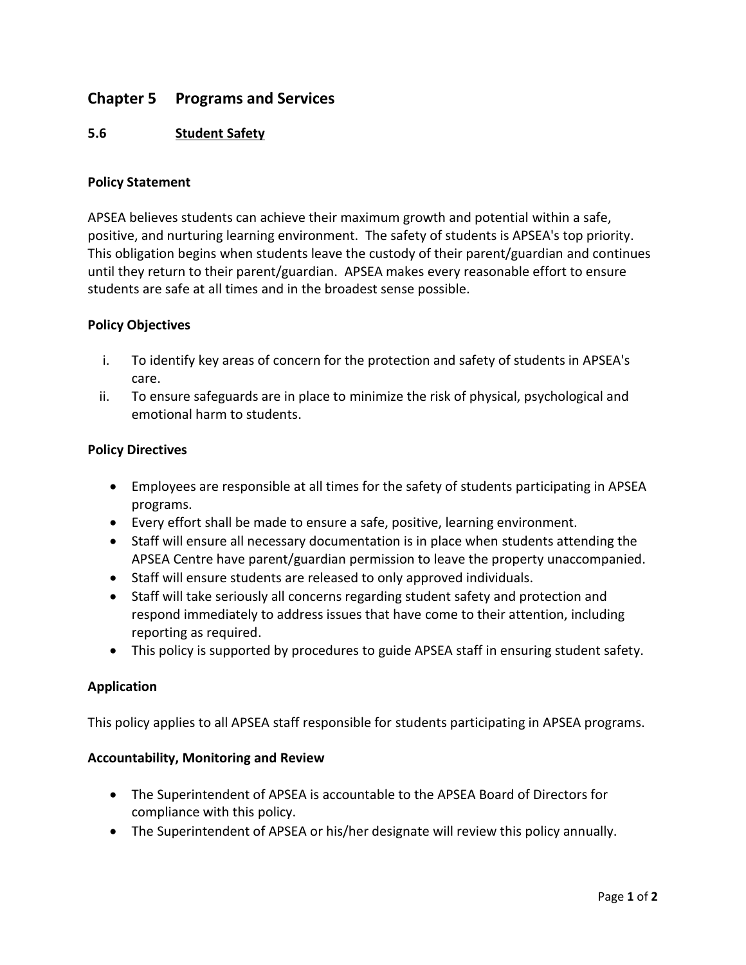# **Chapter 5 Programs and Services**

# **5.6 Student Safety**

#### **Policy Statement**

APSEA believes students can achieve their maximum growth and potential within a safe, positive, and nurturing learning environment. The safety of students is APSEA's top priority. This obligation begins when students leave the custody of their parent/guardian and continues until they return to their parent/guardian. APSEA makes every reasonable effort to ensure students are safe at all times and in the broadest sense possible.

#### **Policy Objectives**

- i. To identify key areas of concern for the protection and safety of students in APSEA's care.
- ii. To ensure safeguards are in place to minimize the risk of physical, psychological and emotional harm to students.

#### **Policy Directives**

- Employees are responsible at all times for the safety of students participating in APSEA programs.
- Every effort shall be made to ensure a safe, positive, learning environment.
- Staff will ensure all necessary documentation is in place when students attending the APSEA Centre have parent/guardian permission to leave the property unaccompanied.
- Staff will ensure students are released to only approved individuals.
- Staff will take seriously all concerns regarding student safety and protection and respond immediately to address issues that have come to their attention, including reporting as required.
- This policy is supported by procedures to guide APSEA staff in ensuring student safety.

### **Application**

This policy applies to all APSEA staff responsible for students participating in APSEA programs.

#### **Accountability, Monitoring and Review**

- The Superintendent of APSEA is accountable to the APSEA Board of Directors for compliance with this policy.
- The Superintendent of APSEA or his/her designate will review this policy annually.